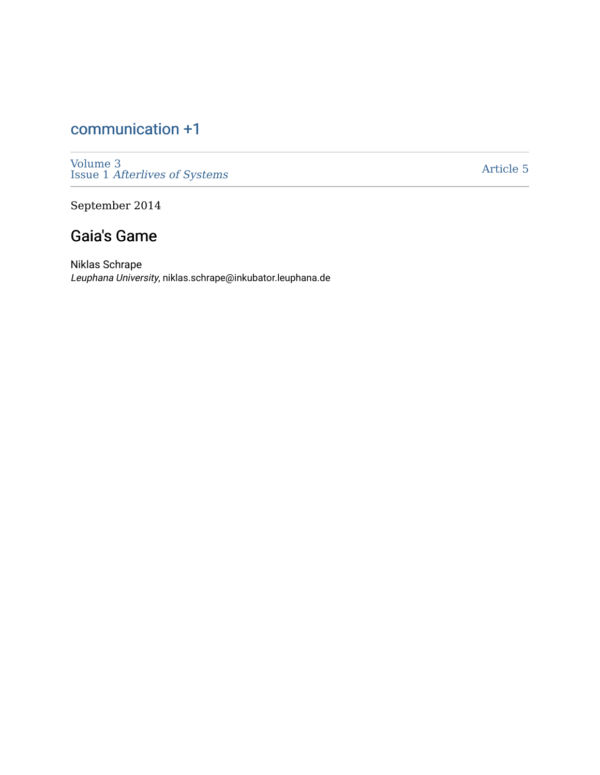# [communication +1](https://scholarworks.umass.edu/cpo)

[Volume 3](https://scholarworks.umass.edu/cpo/vol3)  Issue 1 [Afterlives of Systems](https://scholarworks.umass.edu/cpo/vol3/iss1) 

[Article 5](https://scholarworks.umass.edu/cpo/vol3/iss1/5) 

September 2014

## Gaia's Game

Niklas Schrape Leuphana University, niklas.schrape@inkubator.leuphana.de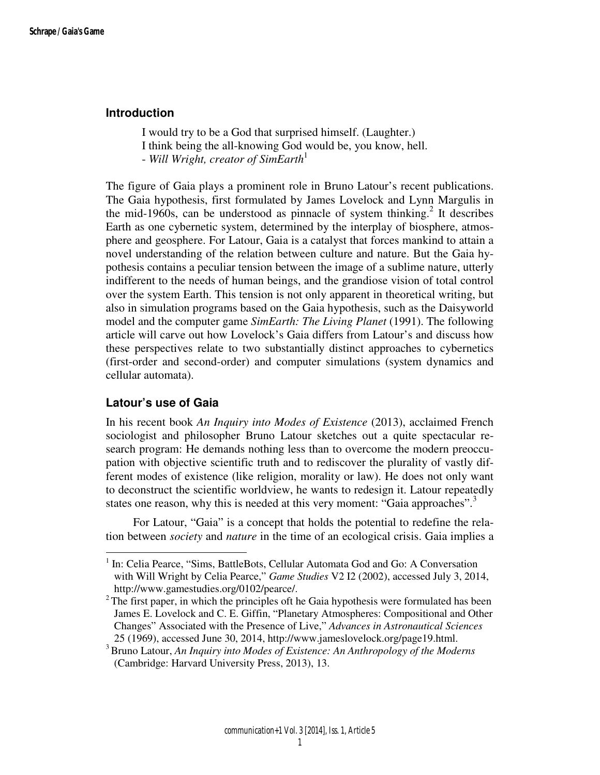## **Introduction**

I would try to be a God that surprised himself. (Laughter.) I think being the all-knowing God would be, you know, hell. - *Will Wright, creator of SimEarth*<sup>1</sup>

The figure of Gaia plays a prominent role in Bruno Latour's recent publications. The Gaia hypothesis, first formulated by James Lovelock and Lynn Margulis in the mid-1960s, can be understood as pinnacle of system thinking.<sup>2</sup> It describes Earth as one cybernetic system, determined by the interplay of biosphere, atmosphere and geosphere. For Latour, Gaia is a catalyst that forces mankind to attain a novel understanding of the relation between culture and nature. But the Gaia hypothesis contains a peculiar tension between the image of a sublime nature, utterly indifferent to the needs of human beings, and the grandiose vision of total control over the system Earth. This tension is not only apparent in theoretical writing, but also in simulation programs based on the Gaia hypothesis, such as the Daisyworld model and the computer game *SimEarth: The Living Planet* (1991). The following article will carve out how Lovelock's Gaia differs from Latour's and discuss how these perspectives relate to two substantially distinct approaches to cybernetics (first-order and second-order) and computer simulations (system dynamics and cellular automata).

## **Latour's use of Gaia**

 $\overline{a}$ 

In his recent book *An Inquiry into Modes of Existence* (2013), acclaimed French sociologist and philosopher Bruno Latour sketches out a quite spectacular research program: He demands nothing less than to overcome the modern preoccupation with objective scientific truth and to rediscover the plurality of vastly different modes of existence (like religion, morality or law). He does not only want to deconstruct the scientific worldview, he wants to redesign it. Latour repeatedly states one reason, why this is needed at this very moment: "Gaia approaches".<sup>3</sup>

 For Latour, "Gaia" is a concept that holds the potential to redefine the relation between *society* and *nature* in the time of an ecological crisis. Gaia implies a

<sup>&</sup>lt;sup>1</sup> In: Celia Pearce, "Sims, BattleBots, Cellular Automata God and Go: A Conversation with Will Wright by Celia Pearce," *Game Studies* V2 I2 (2002), accessed July 3, 2014, http://www.gamestudies.org/0102/pearce/.

 $2<sup>2</sup>$ The first paper, in which the principles oft he Gaia hypothesis were formulated has been James E. Lovelock and C. E. Giffin, "Planetary Atmospheres: Compositional and Other Changes" Associated with the Presence of Live," *Advances in Astronautical Sciences* 25 (1969), accessed June 30, 2014, http://www.jameslovelock.org/page19.html.

<sup>3</sup>Bruno Latour, *An Inquiry into Modes of Existence: An Anthropology of the Moderns*  (Cambridge: Harvard University Press, 2013), 13.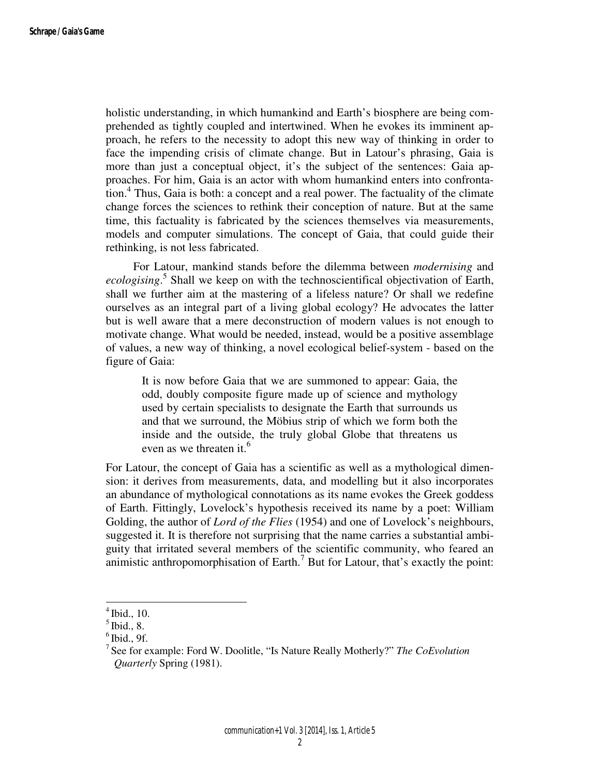holistic understanding, in which humankind and Earth's biosphere are being comprehended as tightly coupled and intertwined. When he evokes its imminent approach, he refers to the necessity to adopt this new way of thinking in order to face the impending crisis of climate change. But in Latour's phrasing, Gaia is more than just a conceptual object, it's the subject of the sentences: Gaia approaches. For him, Gaia is an actor with whom humankind enters into confronta- $\frac{1}{2}$  tion.<sup>4</sup> Thus, Gaia is both: a concept and a real power. The factuality of the climate change forces the sciences to rethink their conception of nature. But at the same time, this factuality is fabricated by the sciences themselves via measurements, models and computer simulations. The concept of Gaia, that could guide their rethinking, is not less fabricated.

 For Latour, mankind stands before the dilemma between *modernising* and *ecologising*. 5 Shall we keep on with the technoscientifical objectivation of Earth, shall we further aim at the mastering of a lifeless nature? Or shall we redefine ourselves as an integral part of a living global ecology? He advocates the latter but is well aware that a mere deconstruction of modern values is not enough to motivate change. What would be needed, instead, would be a positive assemblage of values, a new way of thinking, a novel ecological belief-system - based on the figure of Gaia:

It is now before Gaia that we are summoned to appear: Gaia, the odd, doubly composite figure made up of science and mythology used by certain specialists to designate the Earth that surrounds us and that we surround, the Möbius strip of which we form both the inside and the outside, the truly global Globe that threatens us even as we threaten it.<sup>6</sup>

For Latour, the concept of Gaia has a scientific as well as a mythological dimension: it derives from measurements, data, and modelling but it also incorporates an abundance of mythological connotations as its name evokes the Greek goddess of Earth. Fittingly, Lovelock's hypothesis received its name by a poet: William Golding, the author of *Lord of the Flies* (1954) and one of Lovelock's neighbours, suggested it. It is therefore not surprising that the name carries a substantial ambiguity that irritated several members of the scientific community, who feared an animistic anthropomorphisation of Earth.<sup>7</sup> But for Latour, that's exactly the point:

 $<sup>4</sup>$  Ibid., 10.</sup>

 $<sup>5</sup>$  Ibid., 8.</sup>

 $6$  Ibid., 9f.

<sup>7</sup>See for example: Ford W. Doolitle, "Is Nature Really Motherly?" *The CoEvolution Quarterly* Spring (1981).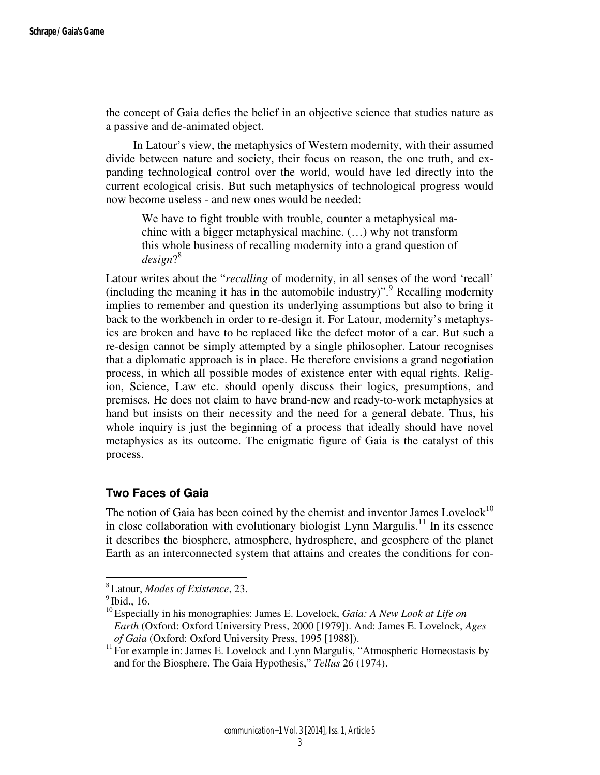the concept of Gaia defies the belief in an objective science that studies nature as a passive and de-animated object.

 In Latour's view, the metaphysics of Western modernity, with their assumed divide between nature and society, their focus on reason, the one truth, and expanding technological control over the world, would have led directly into the current ecological crisis. But such metaphysics of technological progress would now become useless - and new ones would be needed:

We have to fight trouble with trouble, counter a metaphysical machine with a bigger metaphysical machine. (…) why not transform this whole business of recalling modernity into a grand question of *design*? 8

Latour writes about the "*recalling* of modernity, in all senses of the word 'recall' (including the meaning it has in the automobile industry)".<sup>9</sup> Recalling modernity implies to remember and question its underlying assumptions but also to bring it back to the workbench in order to re-design it. For Latour, modernity's metaphysics are broken and have to be replaced like the defect motor of a car. But such a re-design cannot be simply attempted by a single philosopher. Latour recognises that a diplomatic approach is in place. He therefore envisions a grand negotiation process, in which all possible modes of existence enter with equal rights. Religion, Science, Law etc. should openly discuss their logics, presumptions, and premises. He does not claim to have brand-new and ready-to-work metaphysics at hand but insists on their necessity and the need for a general debate. Thus, his whole inquiry is just the beginning of a process that ideally should have novel metaphysics as its outcome. The enigmatic figure of Gaia is the catalyst of this process.

## **Two Faces of Gaia**

The notion of Gaia has been coined by the chemist and inventor James Lovelock<sup>10</sup> in close collaboration with evolutionary biologist Lynn Margulis.<sup>11</sup> In its essence it describes the biosphere, atmosphere, hydrosphere, and geosphere of the planet Earth as an interconnected system that attains and creates the conditions for con-

<sup>8</sup>Latour, *Modes of Existence*, 23.

 $9$  Ibid., 16.

<sup>&</sup>lt;sup>10</sup> Especially in his monographies: James E. Lovelock, *Gaia: A New Look at Life on Earth* (Oxford: Oxford University Press, 2000 [1979]). And: James E. Lovelock, *Ages of Gaia* (Oxford: Oxford University Press, 1995 [1988]).

 $11$  For example in: James E. Lovelock and Lynn Margulis, "Atmospheric Homeostasis by and for the Biosphere. The Gaia Hypothesis," *Tellus* 26 (1974).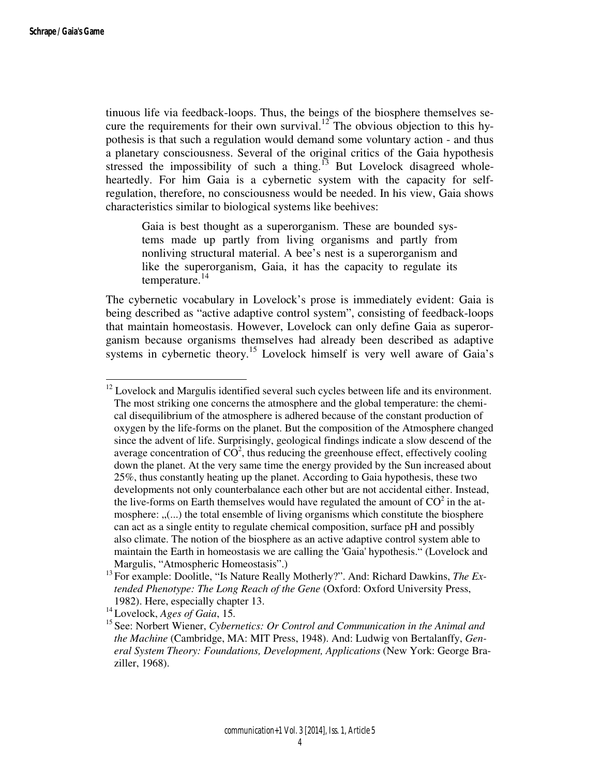l

tinuous life via feedback-loops. Thus, the beings of the biosphere themselves secure the requirements for their own survival.<sup>12</sup> The obvious objection to this hypothesis is that such a regulation would demand some voluntary action - and thus a planetary consciousness. Several of the original critics of the Gaia hypothesis stressed the impossibility of such a thing.<sup>13</sup> But Lovelock disagreed wholeheartedly. For him Gaia is a cybernetic system with the capacity for selfregulation, therefore, no consciousness would be needed. In his view, Gaia shows characteristics similar to biological systems like beehives:

Gaia is best thought as a superorganism. These are bounded systems made up partly from living organisms and partly from nonliving structural material. A bee's nest is a superorganism and like the superorganism, Gaia, it has the capacity to regulate its temperature. $^{14}$ 

The cybernetic vocabulary in Lovelock's prose is immediately evident: Gaia is being described as "active adaptive control system", consisting of feedback-loops that maintain homeostasis. However, Lovelock can only define Gaia as superorganism because organisms themselves had already been described as adaptive systems in cybernetic theory.<sup>15</sup> Lovelock himself is very well aware of Gaia's

 $12$  Lovelock and Margulis identified several such cycles between life and its environment. The most striking one concerns the atmosphere and the global temperature: the chemical disequilibrium of the atmosphere is adhered because of the constant production of oxygen by the life-forms on the planet. But the composition of the Atmosphere changed since the advent of life. Surprisingly, geological findings indicate a slow descend of the average concentration of  $\overline{CO}^2$ , thus reducing the greenhouse effect, effectively cooling down the planet. At the very same time the energy provided by the Sun increased about 25%, thus constantly heating up the planet. According to Gaia hypothesis, these two developments not only counterbalance each other but are not accidental either. Instead, the live-forms on Earth themselves would have regulated the amount of  $CO<sup>2</sup>$  in the atmosphere:  $\ldots$ , ...) the total ensemble of living organisms which constitute the biosphere can act as a single entity to regulate chemical composition, surface pH and possibly also climate. The notion of the biosphere as an active adaptive control system able to maintain the Earth in homeostasis we are calling the 'Gaia' hypothesis." (Lovelock and Margulis, "Atmospheric Homeostasis".)

<sup>&</sup>lt;sup>13</sup> For example: Doolitle, "Is Nature Really Motherly?". And: Richard Dawkins, *The Extended Phenotype: The Long Reach of the Gene* (Oxford: Oxford University Press, 1982). Here, especially chapter 13.

<sup>14</sup>Lovelock, *Ages of Gaia*, 15.

<sup>&</sup>lt;sup>15</sup> See: Norbert Wiener, *Cybernetics: Or Control and Communication in the Animal and the Machine* (Cambridge, MA: MIT Press, 1948). And: Ludwig von Bertalanffy, *General System Theory: Foundations, Development, Applications* (New York: George Braziller, 1968).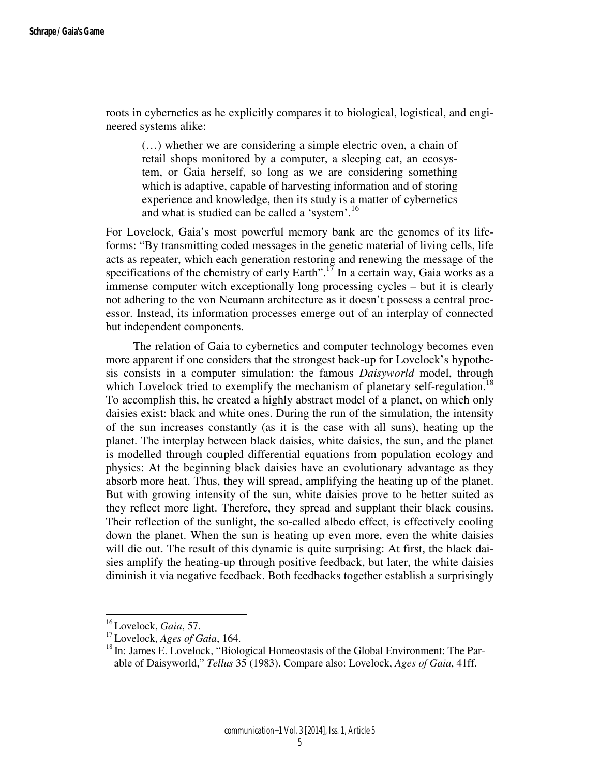roots in cybernetics as he explicitly compares it to biological, logistical, and engineered systems alike:

(…) whether we are considering a simple electric oven, a chain of retail shops monitored by a computer, a sleeping cat, an ecosystem, or Gaia herself, so long as we are considering something which is adaptive, capable of harvesting information and of storing experience and knowledge, then its study is a matter of cybernetics and what is studied can be called a 'system'.<sup>16</sup>

For Lovelock, Gaia's most powerful memory bank are the genomes of its lifeforms: "By transmitting coded messages in the genetic material of living cells, life acts as repeater, which each generation restoring and renewing the message of the specifications of the chemistry of early Earth".<sup>17</sup> In a certain way, Gaia works as a immense computer witch exceptionally long processing cycles – but it is clearly not adhering to the von Neumann architecture as it doesn't possess a central processor. Instead, its information processes emerge out of an interplay of connected but independent components.

 The relation of Gaia to cybernetics and computer technology becomes even more apparent if one considers that the strongest back-up for Lovelock's hypothesis consists in a computer simulation: the famous *Daisyworld* model, through which Lovelock tried to exemplify the mechanism of planetary self-regulation.<sup>18</sup> To accomplish this, he created a highly abstract model of a planet, on which only daisies exist: black and white ones. During the run of the simulation, the intensity of the sun increases constantly (as it is the case with all suns), heating up the planet. The interplay between black daisies, white daisies, the sun, and the planet is modelled through coupled differential equations from population ecology and physics: At the beginning black daisies have an evolutionary advantage as they absorb more heat. Thus, they will spread, amplifying the heating up of the planet. But with growing intensity of the sun, white daisies prove to be better suited as they reflect more light. Therefore, they spread and supplant their black cousins. Their reflection of the sunlight, the so-called albedo effect, is effectively cooling down the planet. When the sun is heating up even more, even the white daisies will die out. The result of this dynamic is quite surprising: At first, the black daisies amplify the heating-up through positive feedback, but later, the white daisies diminish it via negative feedback. Both feedbacks together establish a surprisingly

<sup>16</sup>Lovelock, *Gaia*, 57.

<sup>17</sup>Lovelock, *Ages of Gaia*, 164.

<sup>&</sup>lt;sup>18</sup> In: James E. Lovelock, "Biological Homeostasis of the Global Environment: The Parable of Daisyworld," *Tellus* 35 (1983). Compare also: Lovelock, *Ages of Gaia*, 41ff.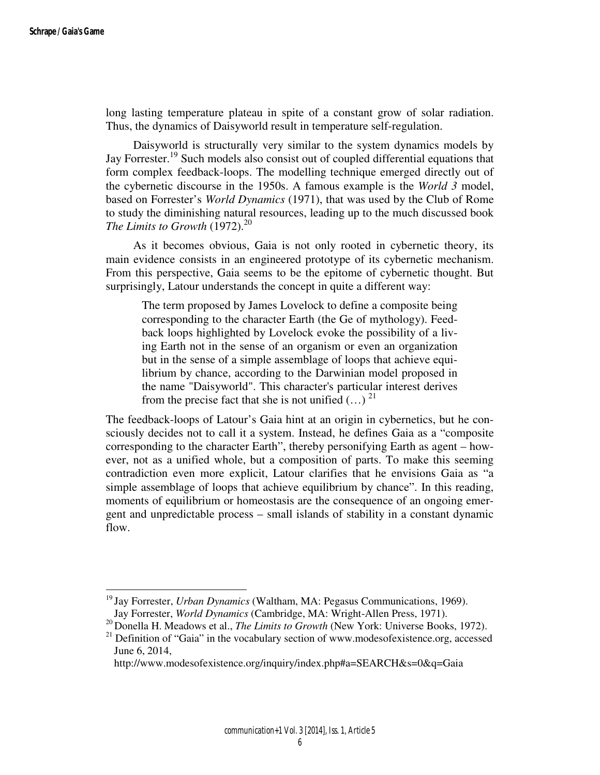long lasting temperature plateau in spite of a constant grow of solar radiation. Thus, the dynamics of Daisyworld result in temperature self-regulation.

 Daisyworld is structurally very similar to the system dynamics models by Jay Forrester.<sup>19</sup> Such models also consist out of coupled differential equations that form complex feedback-loops. The modelling technique emerged directly out of the cybernetic discourse in the 1950s. A famous example is the *World 3* model, based on Forrester's *World Dynamics* (1971), that was used by the Club of Rome to study the diminishing natural resources, leading up to the much discussed book *The Limits to Growth*  $(1972)^{20}$ 

 As it becomes obvious, Gaia is not only rooted in cybernetic theory, its main evidence consists in an engineered prototype of its cybernetic mechanism. From this perspective, Gaia seems to be the epitome of cybernetic thought. But surprisingly, Latour understands the concept in quite a different way:

The term proposed by James Lovelock to define a composite being corresponding to the character Earth (the Ge of mythology). Feedback loops highlighted by Lovelock evoke the possibility of a living Earth not in the sense of an organism or even an organization but in the sense of a simple assemblage of loops that achieve equilibrium by chance, according to the Darwinian model proposed in the name "Daisyworld". This character's particular interest derives from the precise fact that she is not unified  $(...)$ <sup>21</sup>

The feedback-loops of Latour's Gaia hint at an origin in cybernetics, but he consciously decides not to call it a system. Instead, he defines Gaia as a "composite corresponding to the character Earth", thereby personifying Earth as agent – however, not as a unified whole, but a composition of parts. To make this seeming contradiction even more explicit, Latour clarifies that he envisions Gaia as "a simple assemblage of loops that achieve equilibrium by chance". In this reading, moments of equilibrium or homeostasis are the consequence of an ongoing emergent and unpredictable process – small islands of stability in a constant dynamic flow.

<sup>&</sup>lt;sup>19</sup> Jay Forrester, *Urban Dynamics* (Waltham, MA: Pegasus Communications, 1969). Jay Forrester, *World Dynamics* (Cambridge, MA: Wright-Allen Press, 1971).

<sup>&</sup>lt;sup>20</sup> Donella H. Meadows et al., *The Limits to Growth* (New York: Universe Books, 1972).  $21$  Definition of "Gaia" in the vocabulary section of www.modesofexistence.org, accessed June 6, 2014,

http://www.modesofexistence.org/inquiry/index.php#a=SEARCH&s=0&q=Gaia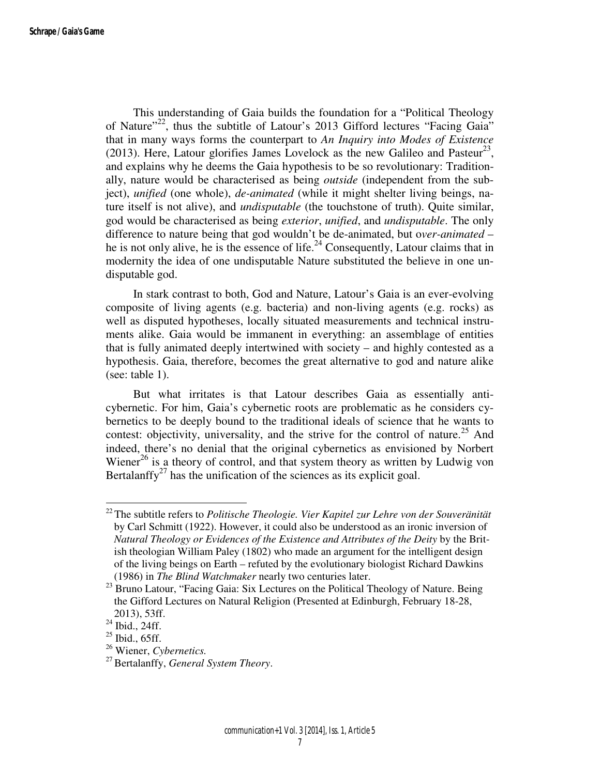This understanding of Gaia builds the foundation for a "Political Theology of Nature"<sup>22</sup>, thus the subtitle of Latour's 2013 Gifford lectures "Facing Gaia" that in many ways forms the counterpart to *An Inquiry into Modes of Existence* (2013). Here, Latour glorifies James Lovelock as the new Galileo and Pasteur<sup>23</sup>, and explains why he deems the Gaia hypothesis to be so revolutionary: Traditionally, nature would be characterised as being *outside* (independent from the subject), *unified* (one whole), *de-animated* (while it might shelter living beings, nature itself is not alive), and *undisputable* (the touchstone of truth). Quite similar, god would be characterised as being *exterior*, *unified*, and *undisputable*. The only difference to nature being that god wouldn't be de-animated, but o*ver-animated* – he is not only alive, he is the essence of life.<sup>24</sup> Consequently, Latour claims that in modernity the idea of one undisputable Nature substituted the believe in one undisputable god.

 In stark contrast to both, God and Nature, Latour's Gaia is an ever-evolving composite of living agents (e.g. bacteria) and non-living agents (e.g. rocks) as well as disputed hypotheses, locally situated measurements and technical instruments alike. Gaia would be immanent in everything: an assemblage of entities that is fully animated deeply intertwined with society – and highly contested as a hypothesis. Gaia, therefore, becomes the great alternative to god and nature alike (see: table 1).

 But what irritates is that Latour describes Gaia as essentially anticybernetic. For him, Gaia's cybernetic roots are problematic as he considers cybernetics to be deeply bound to the traditional ideals of science that he wants to contest: objectivity, universality, and the strive for the control of nature.<sup>25</sup> And indeed, there's no denial that the original cybernetics as envisioned by Norbert Wiener<sup>26</sup> is a theory of control, and that system theory as written by Ludwig von Bertalanffy<sup>27</sup> has the unification of the sciences as its explicit goal.

<sup>22</sup>The subtitle refers to *Politische Theologie. Vier Kapitel zur Lehre von der Souveränität* by Carl Schmitt (1922). However, it could also be understood as an ironic inversion of *Natural Theology or Evidences of the Existence and Attributes of the Deity* by the British theologian William Paley (1802) who made an argument for the intelligent design of the living beings on Earth – refuted by the evolutionary biologist Richard Dawkins (1986) in *The Blind Watchmaker* nearly two centuries later.

<sup>&</sup>lt;sup>23</sup> Bruno Latour, "Facing Gaia: Six Lectures on the Political Theology of Nature. Being the Gifford Lectures on Natural Religion (Presented at Edinburgh, February 18-28, 2013), 53ff.

 $^{24}$  Ibid., 24ff.

 $25$  Ibid., 65ff.

<sup>26</sup> Wiener, *Cybernetics.*

<sup>&</sup>lt;sup>27</sup> Bertalanffy, *General System Theory*.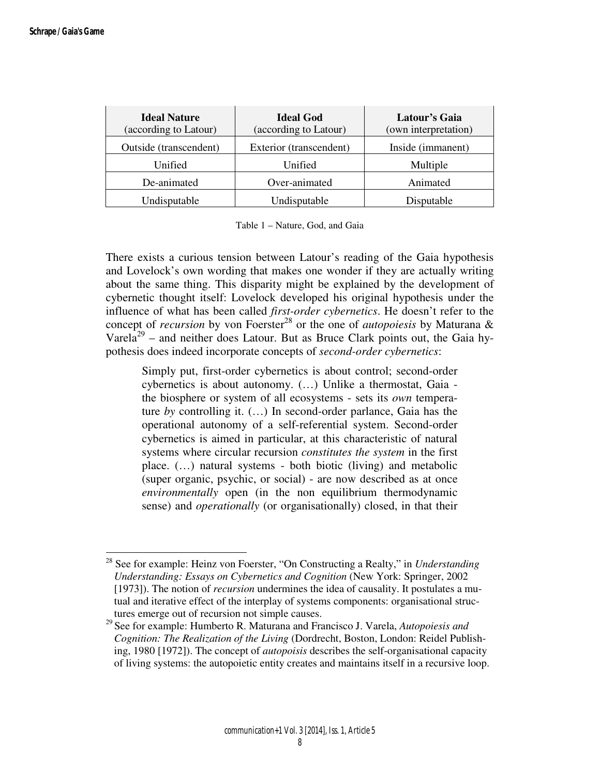| <b>Ideal Nature</b><br>(according to Latour) | <b>Ideal God</b><br>(according to Latour) | Latour's Gaia<br>(own interpretation) |
|----------------------------------------------|-------------------------------------------|---------------------------------------|
| Outside (transcendent)                       | Exterior (transcendent)                   | Inside (immanent)                     |
| Unified                                      | Unified                                   | Multiple                              |
| De-animated                                  | Over-animated                             | Animated                              |
| Undisputable                                 | Undisputable                              | Disputable                            |

Table 1 – Nature, God, and Gaia

There exists a curious tension between Latour's reading of the Gaia hypothesis and Lovelock's own wording that makes one wonder if they are actually writing about the same thing. This disparity might be explained by the development of cybernetic thought itself: Lovelock developed his original hypothesis under the influence of what has been called *first-order cybernetics*. He doesn't refer to the concept of *recursion* by von Foerster<sup>28</sup> or the one of *autopoiesis* by Maturana & Varela<sup>29</sup> – and neither does Latour. But as Bruce Clark points out, the Gaia hypothesis does indeed incorporate concepts of *second-order cybernetics*:

Simply put, first-order cybernetics is about control; second-order cybernetics is about autonomy. (…) Unlike a thermostat, Gaia the biosphere or system of all ecosystems - sets its *own* temperature *by* controlling it. (…) In second-order parlance, Gaia has the operational autonomy of a self-referential system. Second-order cybernetics is aimed in particular, at this characteristic of natural systems where circular recursion *constitutes the system* in the first place. (…) natural systems - both biotic (living) and metabolic (super organic, psychic, or social) - are now described as at once *environmentally* open (in the non equilibrium thermodynamic sense) and *operationally* (or organisationally) closed, in that their

<sup>28</sup> See for example: Heinz von Foerster, "On Constructing a Realty," in *Understanding Understanding: Essays on Cybernetics and Cognition* (New York: Springer, 2002 [1973]). The notion of *recursion* undermines the idea of causality. It postulates a mutual and iterative effect of the interplay of systems components: organisational structures emerge out of recursion not simple causes.

<sup>29</sup>See for example: Humberto R. Maturana and Francisco J. Varela, *Autopoiesis and Cognition: The Realization of the Living* (Dordrecht, Boston, London: Reidel Publishing, 1980 [1972]). The concept of *autopoisis* describes the self-organisational capacity of living systems: the autopoietic entity creates and maintains itself in a recursive loop.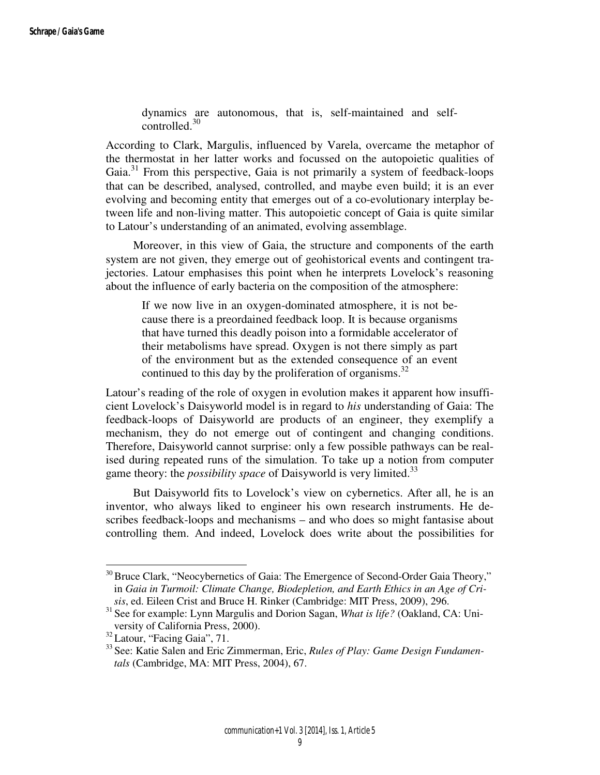dynamics are autonomous, that is, self-maintained and selfcontrolled.<sup>30</sup>

According to Clark, Margulis, influenced by Varela, overcame the metaphor of the thermostat in her latter works and focussed on the autopoietic qualities of Gaia.<sup>31</sup> From this perspective, Gaia is not primarily a system of feedback-loops that can be described, analysed, controlled, and maybe even build; it is an ever evolving and becoming entity that emerges out of a co-evolutionary interplay between life and non-living matter. This autopoietic concept of Gaia is quite similar to Latour's understanding of an animated, evolving assemblage.

 Moreover, in this view of Gaia, the structure and components of the earth system are not given, they emerge out of geohistorical events and contingent trajectories. Latour emphasises this point when he interprets Lovelock's reasoning about the influence of early bacteria on the composition of the atmosphere:

If we now live in an oxygen-dominated atmosphere, it is not because there is a preordained feedback loop. It is because organisms that have turned this deadly poison into a formidable accelerator of their metabolisms have spread. Oxygen is not there simply as part of the environment but as the extended consequence of an event continued to this day by the proliferation of organisms. $^{32}$ 

Latour's reading of the role of oxygen in evolution makes it apparent how insufficient Lovelock's Daisyworld model is in regard to *his* understanding of Gaia: The feedback-loops of Daisyworld are products of an engineer, they exemplify a mechanism, they do not emerge out of contingent and changing conditions. Therefore, Daisyworld cannot surprise: only a few possible pathways can be realised during repeated runs of the simulation. To take up a notion from computer game theory: the *possibility space* of Daisyworld is very limited.<sup>33</sup>

 But Daisyworld fits to Lovelock's view on cybernetics. After all, he is an inventor, who always liked to engineer his own research instruments. He describes feedback-loops and mechanisms – and who does so might fantasise about controlling them. And indeed, Lovelock does write about the possibilities for

<sup>&</sup>lt;sup>30</sup> Bruce Clark, "Neocybernetics of Gaia: The Emergence of Second-Order Gaia Theory," in *Gaia in Turmoil: Climate Change, Biodepletion, and Earth Ethics in an Age of Crisis*, ed. Eileen Crist and Bruce H. Rinker (Cambridge: MIT Press, 2009), 296.

<sup>&</sup>lt;sup>31</sup> See for example: Lynn Margulis and Dorion Sagan, *What is life?* (Oakland, CA: University of California Press, 2000).

<sup>&</sup>lt;sup>32</sup> Latour, "Facing Gaia", 71.

<sup>33</sup>See: Katie Salen and Eric Zimmerman, Eric, *Rules of Play: Game Design Fundamentals* (Cambridge, MA: MIT Press, 2004), 67.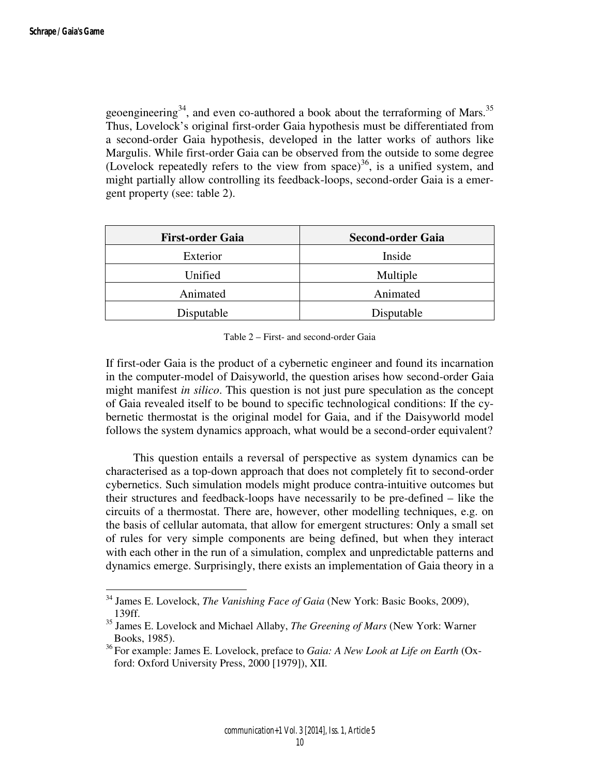geoengineering<sup>34</sup>, and even co-authored a book about the terraforming of Mars.<sup>35</sup> Thus, Lovelock's original first-order Gaia hypothesis must be differentiated from a second-order Gaia hypothesis, developed in the latter works of authors like Margulis. While first-order Gaia can be observed from the outside to some degree (Lovelock repeatedly refers to the view from space)<sup>36</sup>, is a unified system, and might partially allow controlling its feedback-loops, second-order Gaia is a emergent property (see: table 2).

| <b>First-order Gaia</b> | <b>Second-order Gaia</b> |  |
|-------------------------|--------------------------|--|
| Exterior                | Inside                   |  |
| Unified                 | Multiple                 |  |
| Animated                | Animated                 |  |
| Disputable              | Disputable               |  |

Table 2 – First- and second-order Gaia

If first-oder Gaia is the product of a cybernetic engineer and found its incarnation in the computer-model of Daisyworld, the question arises how second-order Gaia might manifest *in silico*. This question is not just pure speculation as the concept of Gaia revealed itself to be bound to specific technological conditions: If the cybernetic thermostat is the original model for Gaia, and if the Daisyworld model follows the system dynamics approach, what would be a second-order equivalent?

 This question entails a reversal of perspective as system dynamics can be characterised as a top-down approach that does not completely fit to second-order cybernetics. Such simulation models might produce contra-intuitive outcomes but their structures and feedback-loops have necessarily to be pre-defined – like the circuits of a thermostat. There are, however, other modelling techniques, e.g. on the basis of cellular automata, that allow for emergent structures: Only a small set of rules for very simple components are being defined, but when they interact with each other in the run of a simulation, complex and unpredictable patterns and dynamics emerge. Surprisingly, there exists an implementation of Gaia theory in a

<sup>34</sup> James E. Lovelock, *The Vanishing Face of Gaia* (New York: Basic Books, 2009), 139ff.

<sup>35</sup> James E. Lovelock and Michael Allaby, *The Greening of Mars* (New York: Warner Books, 1985).

<sup>36</sup>For example: James E. Lovelock, preface to *Gaia: A New Look at Life on Earth* (Oxford: Oxford University Press, 2000 [1979]), XII.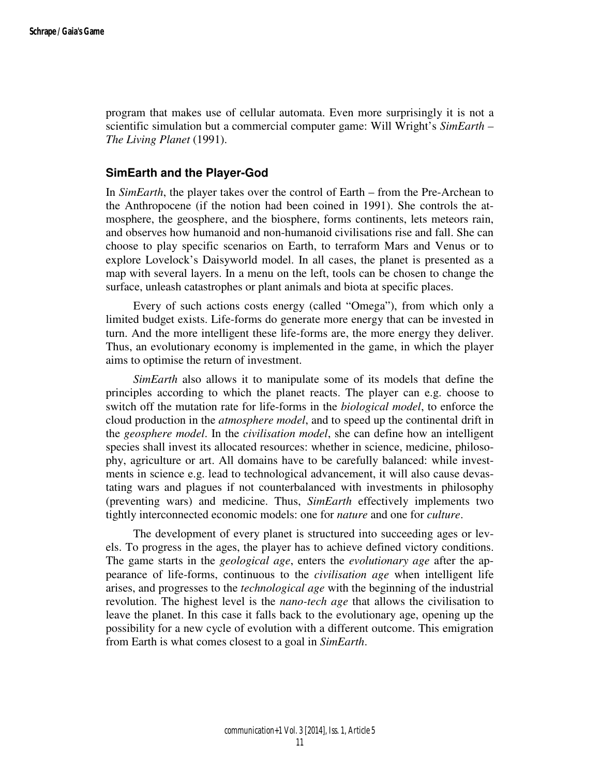program that makes use of cellular automata. Even more surprisingly it is not a scientific simulation but a commercial computer game: Will Wright's *SimEarth – The Living Planet* (1991).

#### **SimEarth and the Player-God**

In *SimEarth*, the player takes over the control of Earth – from the Pre-Archean to the Anthropocene (if the notion had been coined in 1991). She controls the atmosphere, the geosphere, and the biosphere, forms continents, lets meteors rain, and observes how humanoid and non-humanoid civilisations rise and fall. She can choose to play specific scenarios on Earth, to terraform Mars and Venus or to explore Lovelock's Daisyworld model. In all cases, the planet is presented as a map with several layers. In a menu on the left, tools can be chosen to change the surface, unleash catastrophes or plant animals and biota at specific places.

 Every of such actions costs energy (called "Omega"), from which only a limited budget exists. Life-forms do generate more energy that can be invested in turn. And the more intelligent these life-forms are, the more energy they deliver. Thus, an evolutionary economy is implemented in the game, in which the player aims to optimise the return of investment.

*SimEarth* also allows it to manipulate some of its models that define the principles according to which the planet reacts. The player can e.g. choose to switch off the mutation rate for life-forms in the *biological model*, to enforce the cloud production in the *atmosphere model*, and to speed up the continental drift in the *geosphere model*. In the *civilisation model*, she can define how an intelligent species shall invest its allocated resources: whether in science, medicine, philosophy, agriculture or art. All domains have to be carefully balanced: while investments in science e.g. lead to technological advancement, it will also cause devastating wars and plagues if not counterbalanced with investments in philosophy (preventing wars) and medicine. Thus, *SimEarth* effectively implements two tightly interconnected economic models: one for *nature* and one for *culture*.

 The development of every planet is structured into succeeding ages or levels. To progress in the ages, the player has to achieve defined victory conditions. The game starts in the *geological age*, enters the *evolutionary age* after the appearance of life-forms, continuous to the *civilisation age* when intelligent life arises, and progresses to the *technological age* with the beginning of the industrial revolution. The highest level is the *nano-tech age* that allows the civilisation to leave the planet. In this case it falls back to the evolutionary age, opening up the possibility for a new cycle of evolution with a different outcome. This emigration from Earth is what comes closest to a goal in *SimEarth*.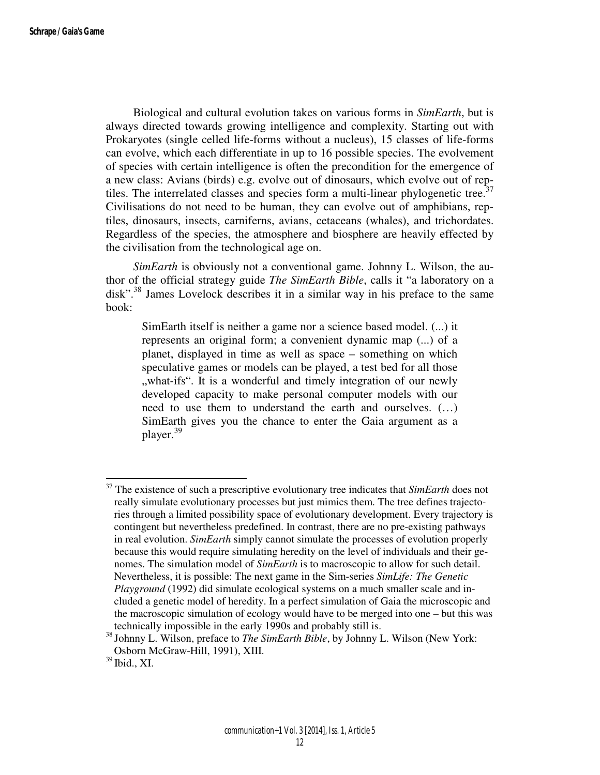Biological and cultural evolution takes on various forms in *SimEarth*, but is always directed towards growing intelligence and complexity. Starting out with Prokaryotes (single celled life-forms without a nucleus), 15 classes of life-forms can evolve, which each differentiate in up to 16 possible species. The evolvement of species with certain intelligence is often the precondition for the emergence of a new class: Avians (birds) e.g. evolve out of dinosaurs, which evolve out of reptiles. The interrelated classes and species form a multi-linear phylogenetic tree.<sup>37</sup> Civilisations do not need to be human, they can evolve out of amphibians, reptiles, dinosaurs, insects, carniferns, avians, cetaceans (whales), and trichordates. Regardless of the species, the atmosphere and biosphere are heavily effected by the civilisation from the technological age on.

*SimEarth* is obviously not a conventional game. Johnny L. Wilson, the author of the official strategy guide *The SimEarth Bible*, calls it "a laboratory on a disk".<sup>38</sup> James Lovelock describes it in a similar way in his preface to the same book:

SimEarth itself is neither a game nor a science based model. (...) it represents an original form; a convenient dynamic map (...) of a planet, displayed in time as well as space – something on which speculative games or models can be played, a test bed for all those "what-ifs". It is a wonderful and timely integration of our newly developed capacity to make personal computer models with our need to use them to understand the earth and ourselves. (…) SimEarth gives you the chance to enter the Gaia argument as a player.<sup>39</sup>

<sup>37</sup> The existence of such a prescriptive evolutionary tree indicates that *SimEarth* does not really simulate evolutionary processes but just mimics them. The tree defines trajectories through a limited possibility space of evolutionary development. Every trajectory is contingent but nevertheless predefined. In contrast, there are no pre-existing pathways in real evolution. *SimEarth* simply cannot simulate the processes of evolution properly because this would require simulating heredity on the level of individuals and their genomes. The simulation model of *SimEarth* is to macroscopic to allow for such detail. Nevertheless, it is possible: The next game in the Sim-series *SimLife: The Genetic Playground* (1992) did simulate ecological systems on a much smaller scale and included a genetic model of heredity. In a perfect simulation of Gaia the microscopic and the macroscopic simulation of ecology would have to be merged into one – but this was technically impossible in the early 1990s and probably still is.

<sup>&</sup>lt;sup>38</sup> Johnny L. Wilson, preface to *The SimEarth Bible*, by Johnny L. Wilson (New York: Osborn McGraw-Hill, 1991), XIII.

 $39$  Ibid., XI.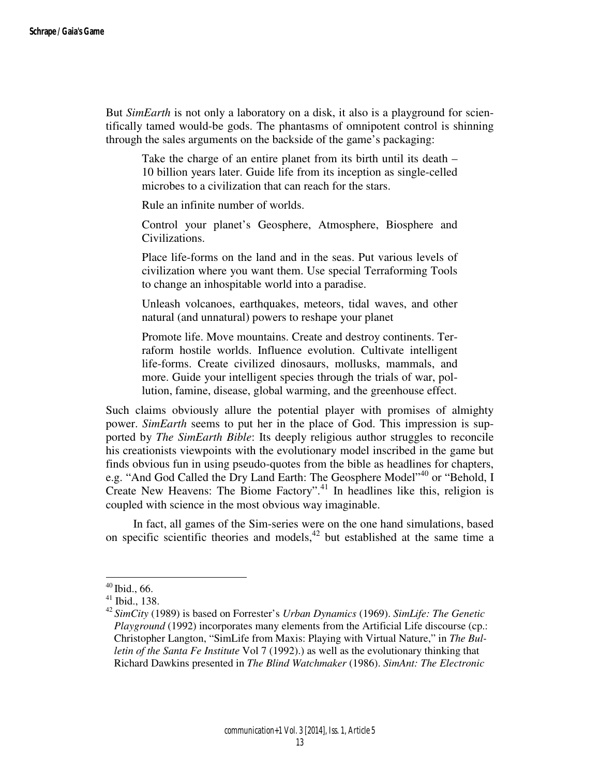But *SimEarth* is not only a laboratory on a disk, it also is a playground for scientifically tamed would-be gods. The phantasms of omnipotent control is shinning through the sales arguments on the backside of the game's packaging:

Take the charge of an entire planet from its birth until its death – 10 billion years later. Guide life from its inception as single-celled microbes to a civilization that can reach for the stars.

Rule an infinite number of worlds.

Control your planet's Geosphere, Atmosphere, Biosphere and Civilizations.

Place life-forms on the land and in the seas. Put various levels of civilization where you want them. Use special Terraforming Tools to change an inhospitable world into a paradise.

Unleash volcanoes, earthquakes, meteors, tidal waves, and other natural (and unnatural) powers to reshape your planet

Promote life. Move mountains. Create and destroy continents. Terraform hostile worlds. Influence evolution. Cultivate intelligent life-forms. Create civilized dinosaurs, mollusks, mammals, and more. Guide your intelligent species through the trials of war, pollution, famine, disease, global warming, and the greenhouse effect.

Such claims obviously allure the potential player with promises of almighty power. *SimEarth* seems to put her in the place of God. This impression is supported by *The SimEarth Bible*: Its deeply religious author struggles to reconcile his creationists viewpoints with the evolutionary model inscribed in the game but finds obvious fun in using pseudo-quotes from the bible as headlines for chapters, e.g. "And God Called the Dry Land Earth: The Geosphere Model"<sup>40</sup> or "Behold, I Create New Heavens: The Biome Factory".<sup>41</sup> In headlines like this, religion is coupled with science in the most obvious way imaginable.

 In fact, all games of the Sim-series were on the one hand simulations, based on specific scientific theories and models, $42$  but established at the same time a

 $40$  Ibid., 66.

<sup>41</sup> Ibid., 138.

<sup>42</sup>*SimCity* (1989) is based on Forrester's *Urban Dynamics* (1969). *SimLife: The Genetic Playground* (1992) incorporates many elements from the Artificial Life discourse (cp.: Christopher Langton, "SimLife from Maxis: Playing with Virtual Nature," in *The Bulletin of the Santa Fe Institute* Vol 7 (1992).) as well as the evolutionary thinking that Richard Dawkins presented in *The Blind Watchmaker* (1986). *SimAnt: The Electronic*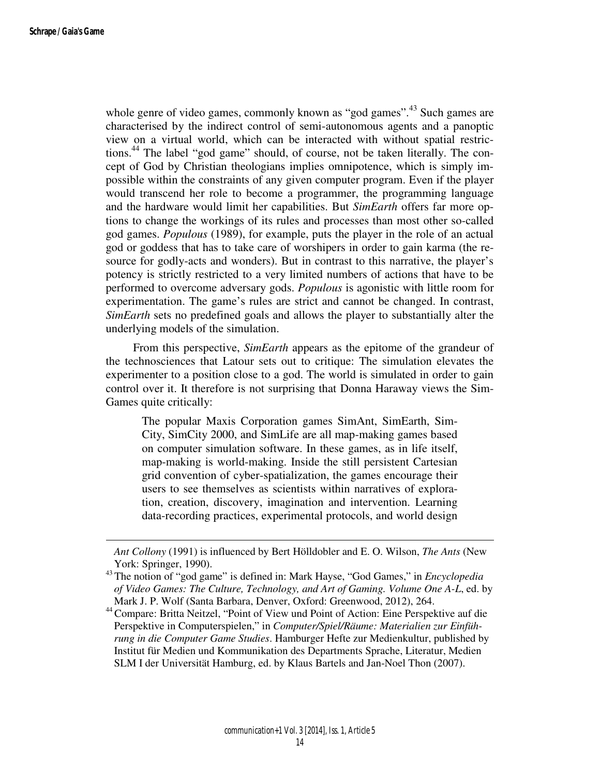whole genre of video games, commonly known as "god games".<sup>43</sup> Such games are characterised by the indirect control of semi-autonomous agents and a panoptic view on a virtual world, which can be interacted with without spatial restrictions.<sup>44</sup> The label "god game" should, of course, not be taken literally. The concept of God by Christian theologians implies omnipotence, which is simply impossible within the constraints of any given computer program. Even if the player would transcend her role to become a programmer, the programming language and the hardware would limit her capabilities. But *SimEarth* offers far more options to change the workings of its rules and processes than most other so-called god games. *Populous* (1989), for example, puts the player in the role of an actual god or goddess that has to take care of worshipers in order to gain karma (the resource for godly-acts and wonders). But in contrast to this narrative, the player's potency is strictly restricted to a very limited numbers of actions that have to be performed to overcome adversary gods. *Populous* is agonistic with little room for experimentation. The game's rules are strict and cannot be changed. In contrast, *SimEarth* sets no predefined goals and allows the player to substantially alter the underlying models of the simulation.

 From this perspective, *SimEarth* appears as the epitome of the grandeur of the technosciences that Latour sets out to critique: The simulation elevates the experimenter to a position close to a god. The world is simulated in order to gain control over it. It therefore is not surprising that Donna Haraway views the Sim-Games quite critically:

The popular Maxis Corporation games SimAnt, SimEarth, Sim-City, SimCity 2000, and SimLife are all map-making games based on computer simulation software. In these games, as in life itself, map-making is world-making. Inside the still persistent Cartesian grid convention of cyber-spatialization, the games encourage their users to see themselves as scientists within narratives of exploration, creation, discovery, imagination and intervention. Learning data-recording practices, experimental protocols, and world design

*Ant Collony* (1991) is influenced by Bert Hölldobler and E. O. Wilson, *The Ants* (New York: Springer, 1990).

<sup>43</sup>The notion of "god game" is defined in: Mark Hayse, "God Games," in *Encyclopedia of Video Games: The Culture, Technology, and Art of Gaming. Volume One A-L*, ed. by Mark J. P. Wolf (Santa Barbara, Denver, Oxford: Greenwood, 2012), 264.

<sup>&</sup>lt;sup>44</sup> Compare: Britta Neitzel, "Point of View und Point of Action: Eine Perspektive auf die Perspektive in Computerspielen," in *Computer/Spiel/Räume: Materialien zur Einführung in die Computer Game Studies*. Hamburger Hefte zur Medienkultur, published by Institut für Medien und Kommunikation des Departments Sprache, Literatur, Medien SLM I der Universität Hamburg, ed. by Klaus Bartels and Jan-Noel Thon (2007).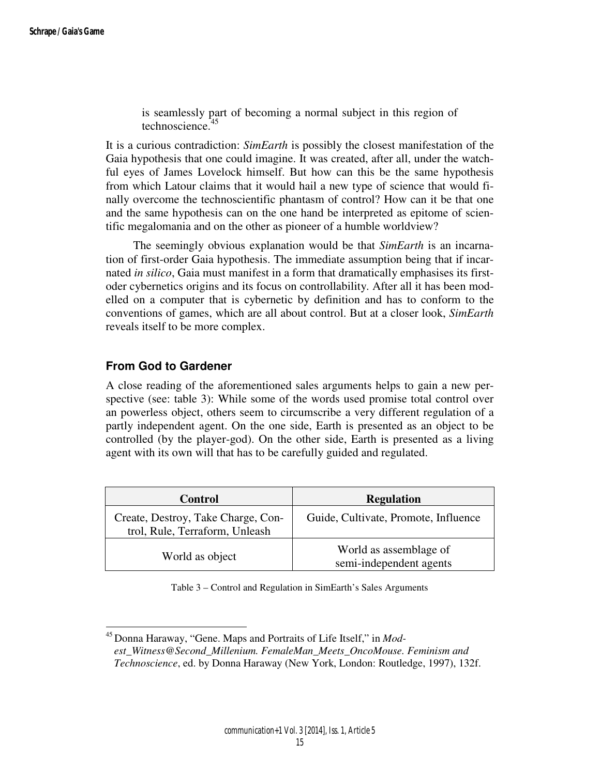is seamlessly part of becoming a normal subject in this region of technoscience.<sup>45</sup>

It is a curious contradiction: *SimEarth* is possibly the closest manifestation of the Gaia hypothesis that one could imagine. It was created, after all, under the watchful eyes of James Lovelock himself. But how can this be the same hypothesis from which Latour claims that it would hail a new type of science that would finally overcome the technoscientific phantasm of control? How can it be that one and the same hypothesis can on the one hand be interpreted as epitome of scientific megalomania and on the other as pioneer of a humble worldview?

 The seemingly obvious explanation would be that *SimEarth* is an incarnation of first-order Gaia hypothesis. The immediate assumption being that if incarnated *in silico*, Gaia must manifest in a form that dramatically emphasises its firstoder cybernetics origins and its focus on controllability. After all it has been modelled on a computer that is cybernetic by definition and has to conform to the conventions of games, which are all about control. But at a closer look, *SimEarth* reveals itself to be more complex.

## **From God to Gardener**

 $\overline{a}$ 

A close reading of the aforementioned sales arguments helps to gain a new perspective (see: table 3): While some of the words used promise total control over an powerless object, others seem to circumscribe a very different regulation of a partly independent agent. On the one side, Earth is presented as an object to be controlled (by the player-god). On the other side, Earth is presented as a living agent with its own will that has to be carefully guided and regulated.

| <b>Control</b>                                                       | <b>Regulation</b>                                 |  |
|----------------------------------------------------------------------|---------------------------------------------------|--|
| Create, Destroy, Take Charge, Con-<br>trol, Rule, Terraform, Unleash | Guide, Cultivate, Promote, Influence              |  |
| World as object                                                      | World as assemblage of<br>semi-independent agents |  |

|  | Table 3 – Control and Regulation in SimEarth's Sales Arguments |  |
|--|----------------------------------------------------------------|--|
|--|----------------------------------------------------------------|--|

<sup>&</sup>lt;sup>45</sup> Donna Haraway, "Gene. Maps and Portraits of Life Itself," in *Modest\_Witness@Second\_Millenium. FemaleMan\_Meets\_OncoMouse. Feminism and Technoscience*, ed. by Donna Haraway (New York, London: Routledge, 1997), 132f.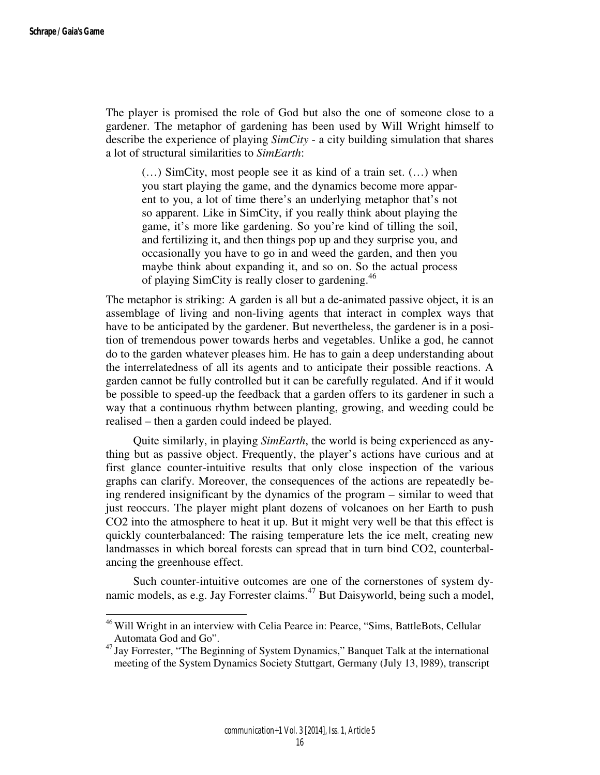The player is promised the role of God but also the one of someone close to a gardener. The metaphor of gardening has been used by Will Wright himself to describe the experience of playing *SimCity* - a city building simulation that shares a lot of structural similarities to *SimEarth*:

(…) SimCity, most people see it as kind of a train set. (…) when you start playing the game, and the dynamics become more apparent to you, a lot of time there's an underlying metaphor that's not so apparent. Like in SimCity, if you really think about playing the game, it's more like gardening. So you're kind of tilling the soil, and fertilizing it, and then things pop up and they surprise you, and occasionally you have to go in and weed the garden, and then you maybe think about expanding it, and so on. So the actual process of playing SimCity is really closer to gardening.<sup>46</sup>

The metaphor is striking: A garden is all but a de-animated passive object, it is an assemblage of living and non-living agents that interact in complex ways that have to be anticipated by the gardener. But nevertheless, the gardener is in a position of tremendous power towards herbs and vegetables. Unlike a god, he cannot do to the garden whatever pleases him. He has to gain a deep understanding about the interrelatedness of all its agents and to anticipate their possible reactions. A garden cannot be fully controlled but it can be carefully regulated. And if it would be possible to speed-up the feedback that a garden offers to its gardener in such a way that a continuous rhythm between planting, growing, and weeding could be realised – then a garden could indeed be played.

 Quite similarly, in playing *SimEarth*, the world is being experienced as anything but as passive object. Frequently, the player's actions have curious and at first glance counter-intuitive results that only close inspection of the various graphs can clarify. Moreover, the consequences of the actions are repeatedly being rendered insignificant by the dynamics of the program – similar to weed that just reoccurs. The player might plant dozens of volcanoes on her Earth to push CO2 into the atmosphere to heat it up. But it might very well be that this effect is quickly counterbalanced: The raising temperature lets the ice melt, creating new landmasses in which boreal forests can spread that in turn bind CO2, counterbalancing the greenhouse effect.

 Such counter-intuitive outcomes are one of the cornerstones of system dynamic models, as e.g. Jay Forrester claims.<sup>47</sup> But Daisyworld, being such a model,

<sup>&</sup>lt;sup>46</sup> Will Wright in an interview with Celia Pearce in: Pearce, "Sims, BattleBots, Cellular Automata God and Go".

<sup>&</sup>lt;sup>47</sup> Jay Forrester, "The Beginning of System Dynamics," Banquet Talk at the international meeting of the System Dynamics Society Stuttgart, Germany (July 13, l989), transcript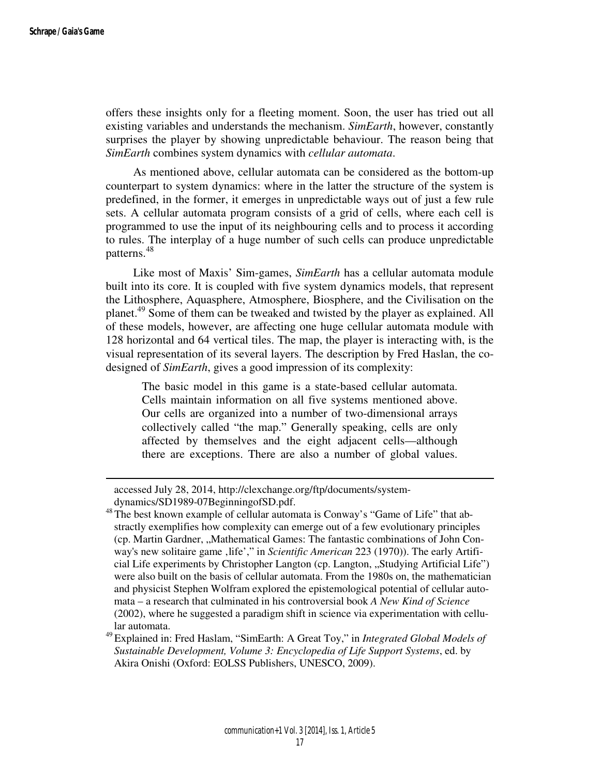offers these insights only for a fleeting moment. Soon, the user has tried out all existing variables and understands the mechanism. *SimEarth*, however, constantly surprises the player by showing unpredictable behaviour. The reason being that *SimEarth* combines system dynamics with *cellular automata*.

 As mentioned above, cellular automata can be considered as the bottom-up counterpart to system dynamics: where in the latter the structure of the system is predefined, in the former, it emerges in unpredictable ways out of just a few rule sets. A cellular automata program consists of a grid of cells, where each cell is programmed to use the input of its neighbouring cells and to process it according to rules. The interplay of a huge number of such cells can produce unpredictable patterns.<sup>48</sup>

 Like most of Maxis' Sim-games, *SimEarth* has a cellular automata module built into its core. It is coupled with five system dynamics models, that represent the Lithosphere, Aquasphere, Atmosphere, Biosphere, and the Civilisation on the planet.<sup>49</sup> Some of them can be tweaked and twisted by the player as explained. All of these models, however, are affecting one huge cellular automata module with 128 horizontal and 64 vertical tiles. The map, the player is interacting with, is the visual representation of its several layers. The description by Fred Haslan, the codesigned of *SimEarth*, gives a good impression of its complexity:

The basic model in this game is a state-based cellular automata. Cells maintain information on all five systems mentioned above. Our cells are organized into a number of two-dimensional arrays collectively called "the map." Generally speaking, cells are only affected by themselves and the eight adjacent cells—although there are exceptions. There are also a number of global values.

accessed July 28, 2014, http://clexchange.org/ftp/documents/systemdynamics/SD1989-07BeginningofSD.pdf.

<sup>&</sup>lt;sup>48</sup>The best known example of cellular automata is Conway's "Game of Life" that abstractly exemplifies how complexity can emerge out of a few evolutionary principles (cp. Martin Gardner, "Mathematical Games: The fantastic combinations of John Conway's new solitaire game , life'," in *Scientific American* 223 (1970)). The early Artificial Life experiments by Christopher Langton (cp. Langton, "Studying Artificial Life") were also built on the basis of cellular automata. From the 1980s on, the mathematician and physicist Stephen Wolfram explored the epistemological potential of cellular automata – a research that culminated in his controversial book *A New Kind of Science* (2002), where he suggested a paradigm shift in science via experimentation with cellular automata.

<sup>49</sup>Explained in: Fred Haslam, "SimEarth: A Great Toy," in *Integrated Global Models of Sustainable Development, Volume 3: Encyclopedia of Life Support Systems*, ed. by Akira Onishi (Oxford: EOLSS Publishers, UNESCO, 2009).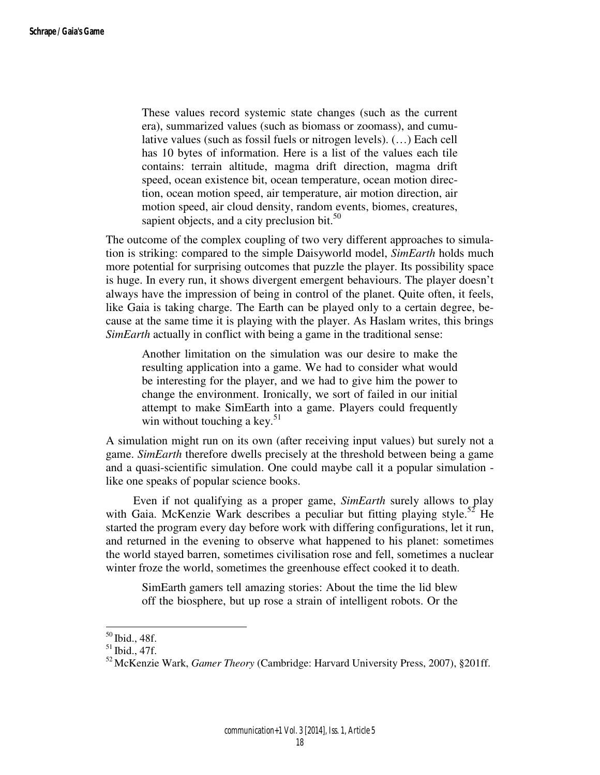These values record systemic state changes (such as the current era), summarized values (such as biomass or zoomass), and cumulative values (such as fossil fuels or nitrogen levels). (…) Each cell has 10 bytes of information. Here is a list of the values each tile contains: terrain altitude, magma drift direction, magma drift speed, ocean existence bit, ocean temperature, ocean motion direction, ocean motion speed, air temperature, air motion direction, air motion speed, air cloud density, random events, biomes, creatures, sapient objects, and a city preclusion bit. $50$ 

The outcome of the complex coupling of two very different approaches to simulation is striking: compared to the simple Daisyworld model, *SimEarth* holds much more potential for surprising outcomes that puzzle the player. Its possibility space is huge. In every run, it shows divergent emergent behaviours. The player doesn't always have the impression of being in control of the planet. Quite often, it feels, like Gaia is taking charge. The Earth can be played only to a certain degree, because at the same time it is playing with the player. As Haslam writes, this brings *SimEarth* actually in conflict with being a game in the traditional sense:

Another limitation on the simulation was our desire to make the resulting application into a game. We had to consider what would be interesting for the player, and we had to give him the power to change the environment. Ironically, we sort of failed in our initial attempt to make SimEarth into a game. Players could frequently win without touching a key.<sup>51</sup>

A simulation might run on its own (after receiving input values) but surely not a game. *SimEarth* therefore dwells precisely at the threshold between being a game and a quasi-scientific simulation. One could maybe call it a popular simulation like one speaks of popular science books.

 Even if not qualifying as a proper game, *SimEarth* surely allows to play with Gaia. McKenzie Wark describes a peculiar but fitting playing style.<sup>52</sup> He started the program every day before work with differing configurations, let it run, and returned in the evening to observe what happened to his planet: sometimes the world stayed barren, sometimes civilisation rose and fell, sometimes a nuclear winter froze the world, sometimes the greenhouse effect cooked it to death.

SimEarth gamers tell amazing stories: About the time the lid blew off the biosphere, but up rose a strain of intelligent robots. Or the

l

 $50$  Ibid., 48f.

 $51$  Ibid., 47f.

<sup>52</sup>McKenzie Wark, *Gamer Theory* (Cambridge: Harvard University Press, 2007), §201ff.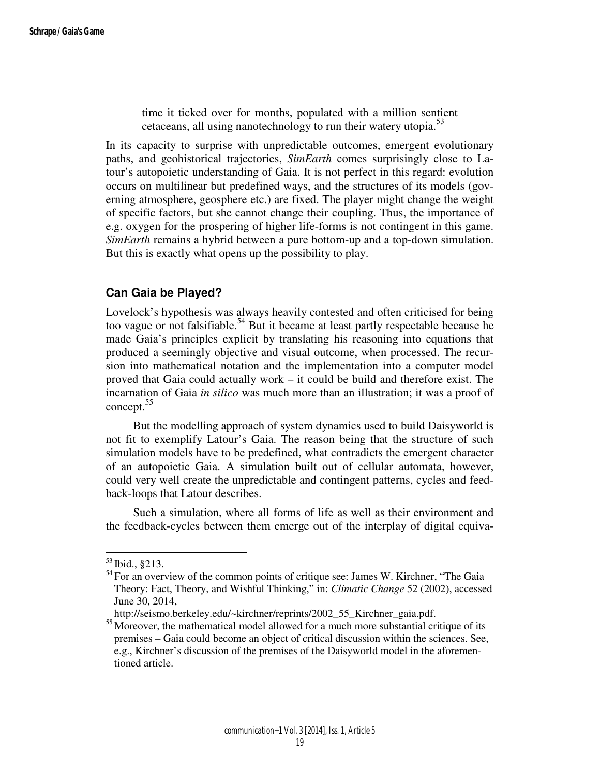time it ticked over for months, populated with a million sentient cetaceans, all using nanotechnology to run their watery utopia.<sup>53</sup>

In its capacity to surprise with unpredictable outcomes, emergent evolutionary paths, and geohistorical trajectories, *SimEarth* comes surprisingly close to Latour's autopoietic understanding of Gaia. It is not perfect in this regard: evolution occurs on multilinear but predefined ways, and the structures of its models (governing atmosphere, geosphere etc.) are fixed. The player might change the weight of specific factors, but she cannot change their coupling. Thus, the importance of e.g. oxygen for the prospering of higher life-forms is not contingent in this game. *SimEarth* remains a hybrid between a pure bottom-up and a top-down simulation. But this is exactly what opens up the possibility to play.

## **Can Gaia be Played?**

Lovelock's hypothesis was always heavily contested and often criticised for being too vague or not falsifiable.<sup>54</sup> But it became at least partly respectable because he made Gaia's principles explicit by translating his reasoning into equations that produced a seemingly objective and visual outcome, when processed. The recursion into mathematical notation and the implementation into a computer model proved that Gaia could actually work – it could be build and therefore exist. The incarnation of Gaia *in silico* was much more than an illustration; it was a proof of concept.<sup>55</sup>

 But the modelling approach of system dynamics used to build Daisyworld is not fit to exemplify Latour's Gaia. The reason being that the structure of such simulation models have to be predefined, what contradicts the emergent character of an autopoietic Gaia. A simulation built out of cellular automata, however, could very well create the unpredictable and contingent patterns, cycles and feedback-loops that Latour describes.

 Such a simulation, where all forms of life as well as their environment and the feedback-cycles between them emerge out of the interplay of digital equiva-

 $53$  Ibid.,  $8213$ .

 $<sup>54</sup>$  For an overview of the common points of critique see: James W. Kirchner, "The Gaia</sup> Theory: Fact, Theory, and Wishful Thinking," in: *Climatic Change* 52 (2002), accessed June 30, 2014,

http://seismo.berkeley.edu/~kirchner/reprints/2002\_55\_Kirchner\_gaia.pdf.

<sup>&</sup>lt;sup>55</sup> Moreover, the mathematical model allowed for a much more substantial critique of its premises – Gaia could become an object of critical discussion within the sciences. See, e.g., Kirchner's discussion of the premises of the Daisyworld model in the aforementioned article.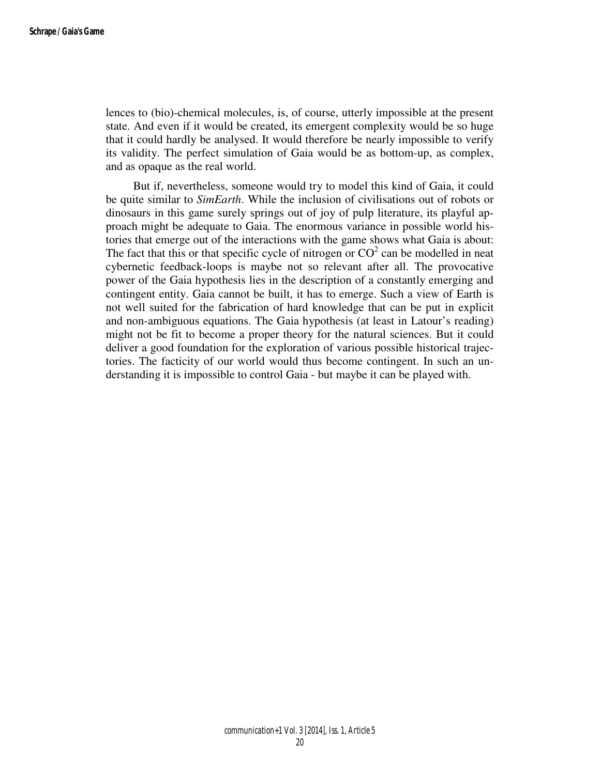lences to (bio)-chemical molecules, is, of course, utterly impossible at the present state. And even if it would be created, its emergent complexity would be so huge that it could hardly be analysed. It would therefore be nearly impossible to verify its validity. The perfect simulation of Gaia would be as bottom-up, as complex, and as opaque as the real world.

 But if, nevertheless, someone would try to model this kind of Gaia, it could be quite similar to *SimEarth*. While the inclusion of civilisations out of robots or dinosaurs in this game surely springs out of joy of pulp literature, its playful approach might be adequate to Gaia. The enormous variance in possible world histories that emerge out of the interactions with the game shows what Gaia is about: The fact that this or that specific cycle of nitrogen or  $CO<sup>2</sup>$  can be modelled in neat cybernetic feedback-loops is maybe not so relevant after all. The provocative power of the Gaia hypothesis lies in the description of a constantly emerging and contingent entity. Gaia cannot be built, it has to emerge. Such a view of Earth is not well suited for the fabrication of hard knowledge that can be put in explicit and non-ambiguous equations. The Gaia hypothesis (at least in Latour's reading) might not be fit to become a proper theory for the natural sciences. But it could deliver a good foundation for the exploration of various possible historical trajectories. The facticity of our world would thus become contingent. In such an understanding it is impossible to control Gaia - but maybe it can be played with.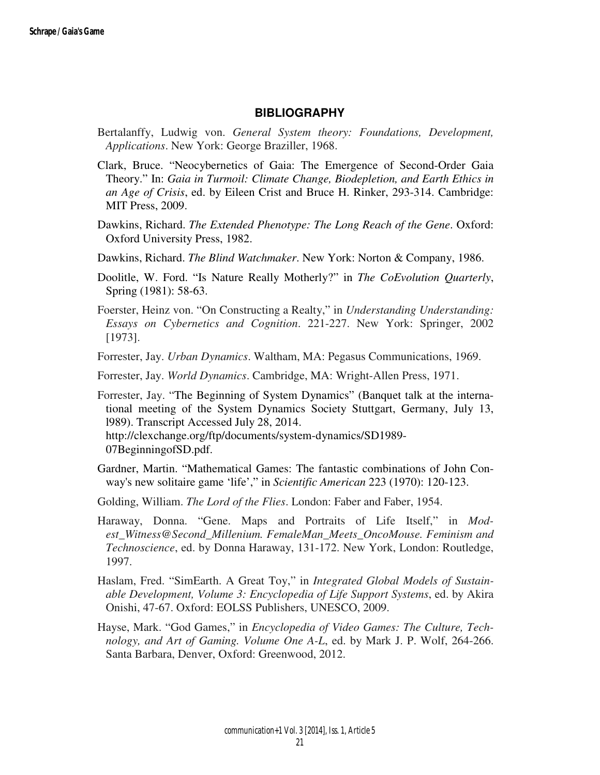#### **BIBLIOGRAPHY**

- Bertalanffy, Ludwig von. *General System theory: Foundations, Development, Applications*. New York: George Braziller, 1968.
- Clark, Bruce. "Neocybernetics of Gaia: The Emergence of Second-Order Gaia Theory." In: *Gaia in Turmoil: Climate Change, Biodepletion, and Earth Ethics in an Age of Crisis*, ed. by Eileen Crist and Bruce H. Rinker, 293-314. Cambridge: MIT Press, 2009.
- Dawkins, Richard. *The Extended Phenotype: The Long Reach of the Gene*. Oxford: Oxford University Press, 1982.
- Dawkins, Richard. *The Blind Watchmaker*. New York: Norton & Company, 1986.
- Doolitle, W. Ford. "Is Nature Really Motherly?" in *The CoEvolution Quarterly*, Spring (1981): 58-63.
- Foerster, Heinz von. "On Constructing a Realty," in *Understanding Understanding: Essays on Cybernetics and Cognition*. 221-227. New York: Springer, 2002 [1973].
- Forrester, Jay. *Urban Dynamics*. Waltham, MA: Pegasus Communications, 1969.
- Forrester, Jay. *World Dynamics*. Cambridge, MA: Wright-Allen Press, 1971.

Forrester, Jay. "The Beginning of System Dynamics" (Banquet talk at the international meeting of the System Dynamics Society Stuttgart, Germany, July 13, l989). Transcript Accessed July 28, 2014. http://clexchange.org/ftp/documents/system-dynamics/SD1989- 07BeginningofSD.pdf.

- Gardner, Martin. "Mathematical Games: The fantastic combinations of John Conway's new solitaire game 'life'," in *Scientific American* 223 (1970): 120-123.
- Golding, William. *The Lord of the Flies*. London: Faber and Faber, 1954.
- Haraway, Donna. "Gene. Maps and Portraits of Life Itself," in *Modest\_Witness@Second\_Millenium. FemaleMan\_Meets\_OncoMouse. Feminism and Technoscience*, ed. by Donna Haraway, 131-172. New York, London: Routledge, 1997.
- Haslam, Fred. "SimEarth. A Great Toy," in *Integrated Global Models of Sustainable Development, Volume 3: Encyclopedia of Life Support Systems*, ed. by Akira Onishi, 47-67. Oxford: EOLSS Publishers, UNESCO, 2009.
- Hayse, Mark. "God Games," in *Encyclopedia of Video Games: The Culture, Technology, and Art of Gaming. Volume One A-L*, ed. by Mark J. P. Wolf, 264-266. Santa Barbara, Denver, Oxford: Greenwood, 2012.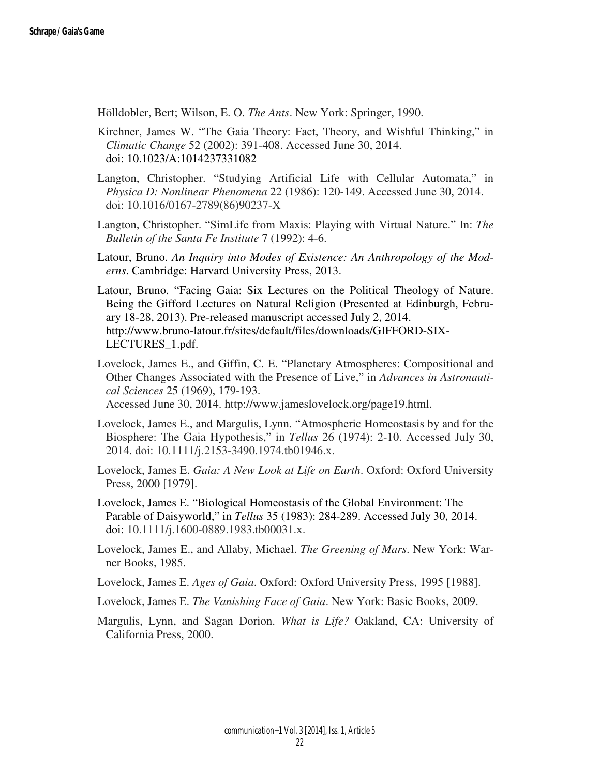Hölldobler, Bert; Wilson, E. O. *The Ants*. New York: Springer, 1990.

- Kirchner, James W. "The Gaia Theory: Fact, Theory, and Wishful Thinking," in *Climatic Change* 52 (2002): 391-408. Accessed June 30, 2014. doi: 10.1023/A:1014237331082
- Langton, Christopher. "Studying Artificial Life with Cellular Automata," in *Physica D: Nonlinear Phenomena* 22 (1986): 120-149. Accessed June 30, 2014. doi: 10.1016/0167-2789(86)90237-X
- Langton, Christopher. "SimLife from Maxis: Playing with Virtual Nature." In: *The Bulletin of the Santa Fe Institute* 7 (1992): 4-6.
- Latour, Bruno. *An Inquiry into Modes of Existence: An Anthropology of the Moderns*. Cambridge: Harvard University Press, 2013.
- Latour, Bruno. "Facing Gaia: Six Lectures on the Political Theology of Nature. Being the Gifford Lectures on Natural Religion (Presented at Edinburgh, February 18-28, 2013). Pre-released manuscript accessed July 2, 2014. http://www.bruno-latour.fr/sites/default/files/downloads/GIFFORD-SIX-LECTURES\_1.pdf.
- Lovelock, James E., and Giffin, C. E. "Planetary Atmospheres: Compositional and Other Changes Associated with the Presence of Live," in *Advances in Astronautical Sciences* 25 (1969), 179-193.

Accessed June 30, 2014. http://www.jameslovelock.org/page19.html.

- Lovelock, James E., and Margulis, Lynn. "Atmospheric Homeostasis by and for the Biosphere: The Gaia Hypothesis," in *Tellus* 26 (1974): 2-10. Accessed July 30, 2014. doi: 10.1111/j.2153-3490.1974.tb01946.x.
- Lovelock, James E. *Gaia: A New Look at Life on Earth*. Oxford: Oxford University Press, 2000 [1979].
- Lovelock, James E. "Biological Homeostasis of the Global Environment: The Parable of Daisyworld," in *Tellus* 35 (1983): 284-289. Accessed July 30, 2014. doi: 10.1111/j.1600-0889.1983.tb00031.x.
- Lovelock, James E., and Allaby, Michael. *The Greening of Mars*. New York: Warner Books, 1985.
- Lovelock, James E. *Ages of Gaia*. Oxford: Oxford University Press, 1995 [1988].
- Lovelock, James E. *The Vanishing Face of Gaia*. New York: Basic Books, 2009.
- Margulis, Lynn, and Sagan Dorion. *What is Life?* Oakland, CA: University of California Press, 2000.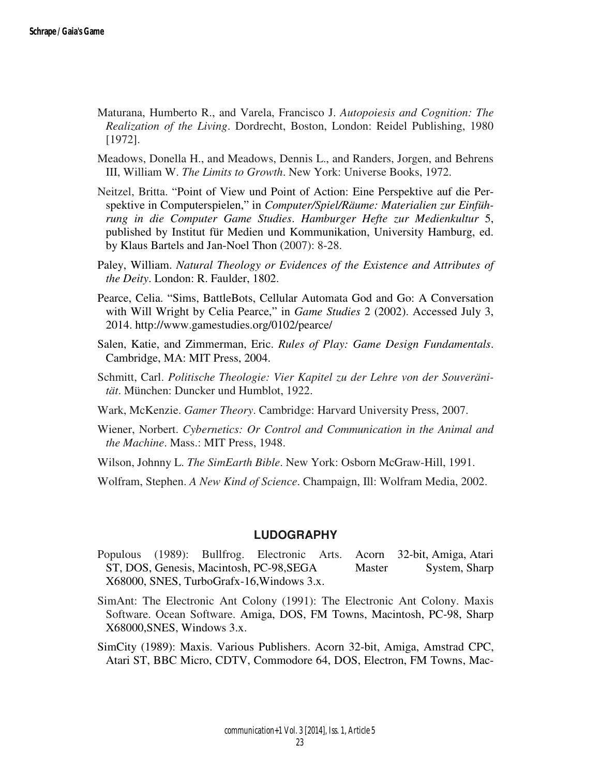- Maturana, Humberto R., and Varela, Francisco J. *Autopoiesis and Cognition: The Realization of the Living*. Dordrecht, Boston, London: Reidel Publishing, 1980 [1972].
- Meadows, Donella H., and Meadows, Dennis L., and Randers, Jorgen, and Behrens III, William W. *The Limits to Growth*. New York: Universe Books, 1972.
- Neitzel, Britta. "Point of View und Point of Action: Eine Perspektive auf die Perspektive in Computerspielen," in *Computer/Spiel/Räume: Materialien zur Einführung in die Computer Game Studies*. *Hamburger Hefte zur Medienkultur* 5, published by Institut für Medien und Kommunikation, University Hamburg, ed. by Klaus Bartels and Jan-Noel Thon (2007): 8-28.
- Paley, William. *Natural Theology or Evidences of the Existence and Attributes of the Deity*. London: R. Faulder, 1802.
- Pearce, Celia. "Sims, BattleBots, Cellular Automata God and Go: A Conversation with Will Wright by Celia Pearce," in *Game Studies* 2 (2002). Accessed July 3, 2014. http://www.gamestudies.org/0102/pearce/
- Salen, Katie, and Zimmerman, Eric. *Rules of Play: Game Design Fundamentals*. Cambridge, MA: MIT Press, 2004.
- Schmitt, Carl. *Politische Theologie: Vier Kapitel zu der Lehre von der Souveränität*. München: Duncker und Humblot, 1922.
- Wark, McKenzie. *Gamer Theory*. Cambridge: Harvard University Press, 2007.
- Wiener, Norbert. *Cybernetics: Or Control and Communication in the Animal and the Machine*. Mass.: MIT Press, 1948.
- Wilson, Johnny L. *The SimEarth Bible*. New York: Osborn McGraw-Hill, 1991.

Wolfram, Stephen. *A New Kind of Science*. Champaign, Ill: Wolfram Media, 2002.

#### **LUDOGRAPHY**

- Populous (1989): Bullfrog. Electronic Arts. Acorn 32-bit, Amiga, Atari ST, DOS, Genesis, Macintosh, PC-98, SEGA Master System, Sharp X68000, SNES, TurboGrafx-16,Windows 3.x.
- SimAnt: The Electronic Ant Colony (1991): The Electronic Ant Colony. Maxis Software. Ocean Software. Amiga, DOS, FM Towns, Macintosh, PC-98, Sharp X68000,SNES, Windows 3.x.
- SimCity (1989): Maxis. Various Publishers. Acorn 32-bit, Amiga, Amstrad CPC, Atari ST, BBC Micro, CDTV, Commodore 64, DOS, Electron, FM Towns, Mac-